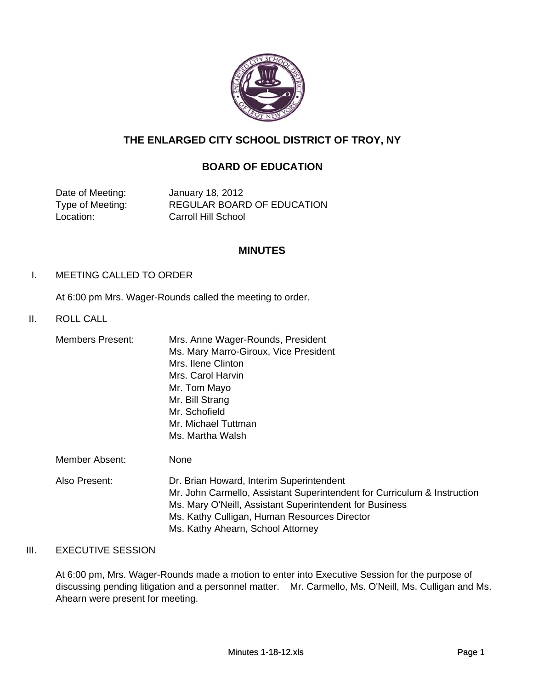

# **THE ENLARGED CITY SCHOOL DISTRICT OF TROY, NY**

# **BOARD OF EDUCATION**

Date of Meeting: January 18, 2012 Location: Carroll Hill School

Type of Meeting: REGULAR BOARD OF EDUCATION

## **MINUTES**

### I. MEETING CALLED TO ORDER

At 6:00 pm Mrs. Wager-Rounds called the meeting to order.

### II. ROLL CALL II. ROLL

| <b>Members Present:</b> | Mrs. Anne Wager-Rounds, President     |
|-------------------------|---------------------------------------|
|                         | Ms. Mary Marro-Giroux, Vice President |
|                         | Mrs. Ilene Clinton                    |
|                         | Mrs. Carol Harvin                     |
|                         | Mr. Tom Mayo                          |
|                         | Mr. Bill Strang                       |
|                         | Mr. Schofield                         |
|                         | Mr. Michael Tuttman                   |
|                         | Ms. Martha Walsh                      |
|                         |                                       |

- Member Absent: None
- Also Present: Dr. Brian Howard, Interim Superintendent Mr. John Carmello, Assistant Superintendent for Curriculum & Instruction Ms. Mary O'Neill, Assistant Superintendent for Business Ms. Kathy Culligan, Human Resources Director Ms. Kathy Ahearn, School Attorney

### III. EXECUTIVE SESSION

At 6:00 pm, Mrs. Wager-Rounds made a motion to enter into Executive Session for the purpose of discussing pending litigation and a personnel matter. Mr. Carmello, Ms. O'Neill, Ms. Culligan and Ms. Ahearn were present for meeting.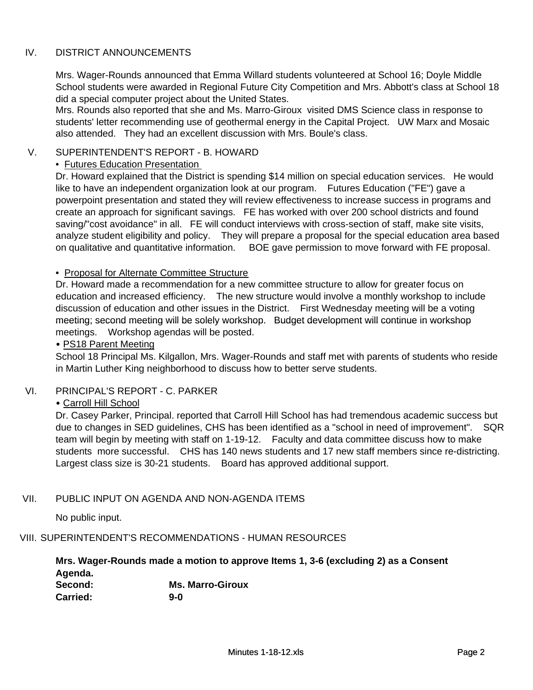## IV. DISTRICT ANNOUNCEMENTS

Mrs. Wager-Rounds announced that Emma Willard students volunteered at School 16; Doyle Middle School students were awarded in Regional Future City Competition and Mrs. Abbott's class at School 18 did a special computer project about the United States.

Mrs. Rounds also reported that she and Ms. Marro-Giroux visited DMS Science class in response to students' letter recommending use of geothermal energy in the Capital Project. UW Marx and Mosaic also attended. They had an excellent discussion with Mrs. Boule's class.

## V. SUPERINTENDENT'S REPORT - B. HOWARD

### • Futures Education Presentation

Dr. Howard explained that the District is spending \$14 million on special education services. He would like to have an independent organization look at our program. Futures Education ("FE") gave a powerpoint presentation and stated they will review effectiveness to increase success in programs and create an approach for significant savings. FE has worked with over 200 school districts and found saving/"cost avoidance" in all. FE will conduct interviews with cross-section of staff, make site visits, analyze student eligibility and policy. They will prepare a proposal for the special education area based on qualitative and quantitative information. BOE gave permission to move forward with FE proposal.

### • Proposal for Alternate Committee Structure

Dr. Howard made a recommendation for a new committee structure to allow for greater focus on education and increased efficiency. The new structure would involve a monthly workshop to include discussion of education and other issues in the District. First Wednesday meeting will be a voting meeting; second meeting will be solely workshop. Budget development will continue in workshop meeting; second meeting will be solely workshop. Budget development will continue in meetings. Workshop agendas will be posted.

### • PS18 Parent Meeting

School 18 Principal Ms. Kilgallon, Mrs. Wager-Rounds and staff met with parents of students who reside in Martin Luther King neighborhood to discuss how to better serve students.

## VI. PRINCIPAL'S REPORT - C. PARKER

## • Carroll Hill School

Dr. Casey Parker, Principal. reported that Carroll Hill School has had tremendous academic success but due to changes in SED guidelines, CHS has been identified as a "school in need of improvement". SQR team will begin by meeting with staff on 1-19-12. Faculty and data committee discuss how to make students more successful. CHS has 140 news students and 17 new staff members since re-districting. Largest class size is 30-21 students. Board has approved additional support.

## VII. PUBLIC INPUT ON AGENDA AND NON-AGENDA ITEMS

No public input.

### VIII. SUPERINTENDENT'S RECOMMENDATIONS - HUMAN RESOURCES

**Second: Ms. Marro-Giroux Carried: 9-0 Mrs. Wager-Rounds made a motion to approve Items 1, 3-6 (excluding 2) as a Consent Agenda.**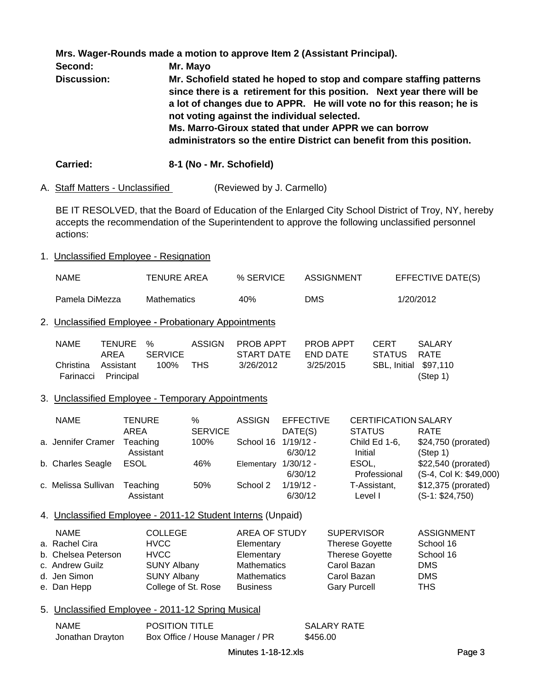**Mrs. Wager-Rounds made a motion to approve Item 2 (Assistant Principal).** 

**Second: Mr. Mayo Discussion: Mr. Schofield stated he hoped to stop and compare staffing patterns since there is a retirement for this position. Next year there will be a lot of changes due to APPR. He will vote no for this reason; he is not voting against the individual selected. Ms. Marro-Giroux stated that under APPR we can borrow administrators so the entire District can benefit from this position.**

**Carried: 8-1 (No - Mr. Schofield)** 

A. Staff Matters - Unclassified (Reviewed by J. Carmello)

BE IT RESOLVED, that the Board of Education of the Enlarged City School District of Troy, NY, hereby accepts the recommendation of the Superintendent to approve the following unclassified personnel actions:

## 1. Unclassified Employee - Resignation

| <b>NAME</b>    | TENURE AREA        | % SERVICE | ASSIGNMENT | EFFECTIVE DATE(S) |
|----------------|--------------------|-----------|------------|-------------------|
| Pamela DiMezza | <b>Mathematics</b> | 40%       | DMS        | 1/20/2012         |

## 2. Unclassified Employee - Probationary Appointments

| <b>NAME</b> | TENURE %            |         | ASSIGN       | PROB APPT  | PROB APPT | <b>CERT</b>                  | -SAI ARY |
|-------------|---------------------|---------|--------------|------------|-----------|------------------------------|----------|
|             | AREA                | SERVICE |              | START DATE | END DATE  | STATUS RATE                  |          |
| Christina   | Assistant           | 100%    | THS <b>T</b> | 3/26/2012  | 3/25/2015 | <b>SBL, Initial \$97,110</b> |          |
|             | Farinacci Principal |         |              |            |           |                              | (Step 1) |

## 3. Unclassified Employee - Temporary Appointments

| <b>NAME</b>         | <b>TENURE</b> | %              | <b>ASSIGN</b> | <b>EFFECTIVE</b> | <b>CERTIFICATION SALARY</b> |                        |
|---------------------|---------------|----------------|---------------|------------------|-----------------------------|------------------------|
|                     | AREA          | <b>SERVICE</b> |               | DATE(S)          | <b>STATUS</b>               | <b>RATE</b>            |
| a. Jennifer Cramer  | Teaching      | 100%           | School 16     | $1/19/12 -$      | Child Ed 1-6,               | \$24,750 (prorated)    |
|                     | Assistant     |                |               | 6/30/12          | Initial                     | (Step 1)               |
| b. Charles Seagle   | ESOL          | 46%            | Elementary    | 1/30/12 -        | ESOL.                       | \$22,540 (prorated)    |
|                     |               |                |               | 6/30/12          | Professional                | (S-4, Col K: \$49,000) |
| c. Melissa Sullivan | Teaching      | 50%            | School 2      | $1/19/12 -$      | T-Assistant,                | \$12,375 (prorated)    |
|                     | Assistant     |                |               | 6/30/12          | Level I                     | $(S-1: $24,750)$       |

## 4. Unclassified Employee - 2011-12 Student Interns (Unpaid)

| <b>NAME</b>         | <b>COLLEGE</b>      | <b>AREA OF STUDY</b> | <b>SUPERVISOR</b>      | <b>ASSIGNMENT</b> |
|---------------------|---------------------|----------------------|------------------------|-------------------|
| a. Rachel Cira      | <b>HVCC</b>         | Elementary           | <b>Therese Goyette</b> | School 16         |
| b. Chelsea Peterson | <b>HVCC</b>         | Elementary           | <b>Therese Goyette</b> | School 16         |
| c. Andrew Guilz     | <b>SUNY Albany</b>  | <b>Mathematics</b>   | Carol Bazan            | <b>DMS</b>        |
| d. Jen Simon        | <b>SUNY Albany</b>  | <b>Mathematics</b>   | Carol Bazan            | <b>DMS</b>        |
| e. Dan Hepp         | College of St. Rose | <b>Business</b>      | <b>Gary Purcell</b>    | <b>THS</b>        |

### 5. Unclassified Employee - 2011-12 Spring Musical

| NAME             | <b>POSITION TITLE</b>           | SALARY RATE |
|------------------|---------------------------------|-------------|
| Jonathan Drayton | Box Office / House Manager / PR | \$456.00    |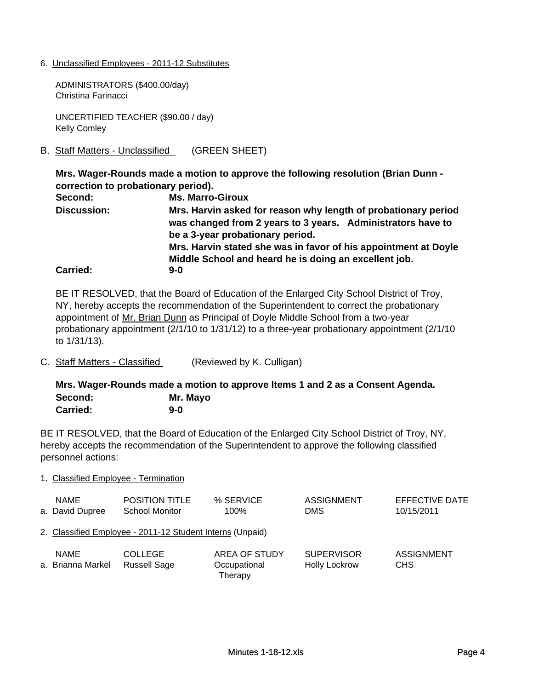6. Unclassified Employees - 2011-12 Substitutes

ADMINISTRATORS (\$400.00/day) Christina Farinacci

UNCERTIFIED TEACHER (\$90.00 / day) Kelly Comley

B. Staff Matters - Unclassified (GREEN SHEET)

**Mrs. Wager-Rounds made a motion to approve the following resolution (Brian Dunn correction to probationary period).** 

**Second: Ms. Marro-Giroux Carried: 9-0 Mrs. Harvin asked for reason why length of probationary period was changed from 2 years to 3 years. Administrators have to be a 3-year probationary period. Discussion: Mrs. Harvin stated she was in favor of his appointment at Doyle Middle School and heard he is doing an excellent job.**

BE IT RESOLVED, that the Board of Education of the Enlarged City School District of Troy, NY, hereby accepts the recommendation of the Superintendent to correct the probationary appointment of Mr. Brian Dunn as Principal of Doyle Middle School from a two-year probationary appointment (2/1/10 to 1/31/12) to a three-year probationary appointment (2/1/10 to 1/31/13).

C. Staff Matters - Classified (Reviewed by K. Culligan)

**Mrs. Wager-Rounds made a motion to approve Items 1 and 2 as a Consent Agenda. Second: Mr. Mayo Carried: 9-0**

BE IT RESOLVED, that the Board of Education of the Enlarged City School District of Troy, NY, hereby accepts the recommendation of the Superintendent to approve the following classified personnel actions:

#### 1. Classified Employee - Termination

| <b>NAME</b><br>a. David Dupree   | <b>POSITION TITLE</b><br><b>School Monitor</b>            | % SERVICE<br>100%                               | ASSIGNMENT<br><b>DMS</b>                  | EFFECTIVE DATE<br>10/15/2011         |
|----------------------------------|-----------------------------------------------------------|-------------------------------------------------|-------------------------------------------|--------------------------------------|
|                                  | 2. Classified Employee - 2011-12 Student Interns (Unpaid) |                                                 |                                           |                                      |
| <b>NAME</b><br>a. Brianna Markel | <b>COLLEGE</b><br><b>Russell Sage</b>                     | <b>AREA OF STUDY</b><br>Occupational<br>Therapy | <b>SUPERVISOR</b><br><b>Holly Lockrow</b> | <b>ASSIGNMENT</b><br>CH <sub>S</sub> |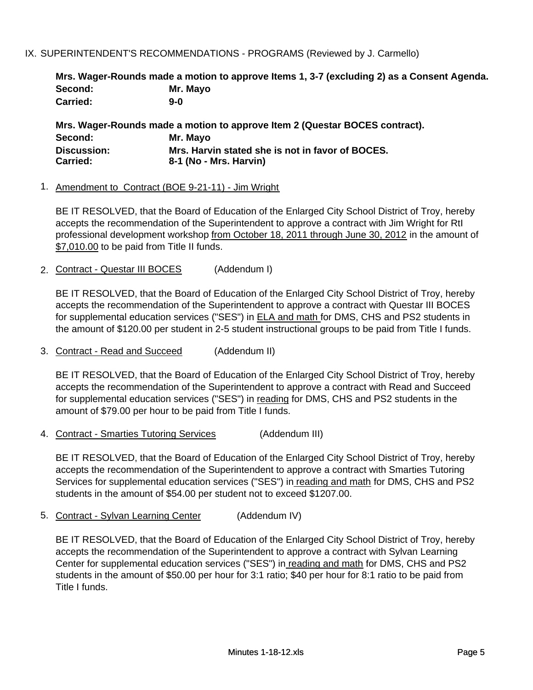## IX. SUPERINTENDENT'S RECOMMENDATIONS - PROGRAMS (Reviewed by J. Carmello)

|                 | Mrs. Wager-Rounds made a motion to approve Items 1, 3-7 (excluding 2) as a Consent Agenda. |
|-----------------|--------------------------------------------------------------------------------------------|
| Second:         | Mr. Mayo                                                                                   |
| <b>Carried:</b> | 9-0                                                                                        |

**Mrs. Wager-Rounds made a motion to approve Item 2 (Questar BOCES contract). Second: Mr. Mayo Carried: 8-1 (No - Mrs. Harvin) Discussion: Mrs. Harvin stated she is not in favor of BOCES.** 

### 1. Amendment to Contract (BOE 9-21-11) - Jim Wright

BE IT RESOLVED, that the Board of Education of the Enlarged City School District of Troy, hereby accepts the recommendation of the Superintendent to approve a contract with Jim Wright for RtI professional development workshop from October 18, 2011 through June 30, 2012 in the amount of \$7,010.00 to be paid from Title II funds.

2. Contract - Questar III BOCES (Addendum I)

BE IT RESOLVED, that the Board of Education of the Enlarged City School District of Troy, hereby accepts the recommendation of the Superintendent to approve a contract with Questar III BOCES for supplemental education services ("SES") in ELA and math for DMS, CHS and PS2 students in the amount of \$120.00 per student in 2-5 student instructional groups to be paid from Title I funds.

3. Contract - Read and Succeed (Addendum II)

BE IT RESOLVED, that the Board of Education of the Enlarged City School District of Troy, hereby accepts the recommendation of the Superintendent to approve a contract with Read and Succeed for supplemental education services ("SES") in reading for DMS, CHS and PS2 students in the amount of \$79.00 per hour to be paid from Title I funds.

4. Contract - Smarties Tutoring Services (Addendum III)

BE IT RESOLVED, that the Board of Education of the Enlarged City School District of Troy, hereby accepts the recommendation of the Superintendent to approve a contract with Smarties Tutoring Services for supplemental education services ("SES") in reading and math for DMS, CHS and PS2 students in the amount of \$54.00 per student not to exceed \$1207.00.

5. Contract - Sylvan Learning Center (Addendum IV)

BE IT RESOLVED, that the Board of Education of the Enlarged City School District of Troy, hereby accepts the recommendation of the Superintendent to approve a contract with Sylvan Learning Center for supplemental education services ("SES") in reading and math for DMS, CHS and PS2 students in the amount of \$50.00 per hour for 3:1 ratio; \$40 per hour for 8:1 ratio to be paid from Title I funds.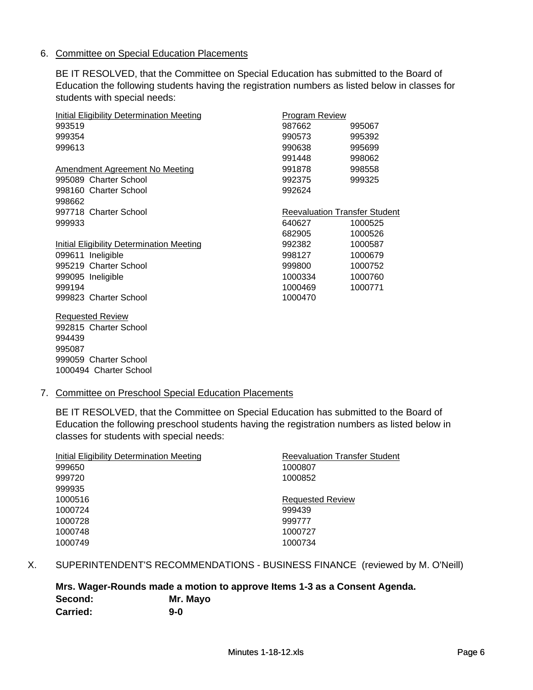### 6. Committee on Special Education Placements

BE IT RESOLVED, that the Committee on Special Education has submitted to the Board of Education the following students having the registration numbers as listed below in classes for students with special needs:

| Initial Eligibility Determination Meeting | <b>Program Review</b> |                                      |
|-------------------------------------------|-----------------------|--------------------------------------|
| 993519                                    | 987662                | 995067                               |
| 999354                                    | 990573                | 995392                               |
| 999613                                    | 990638                | 995699                               |
|                                           | 991448                | 998062                               |
| Amendment Agreement No Meeting            | 991878                | 998558                               |
| 995089 Charter School                     | 992375                | 999325                               |
| 998160 Charter School                     | 992624                |                                      |
| 998662                                    |                       |                                      |
|                                           |                       |                                      |
| 997718 Charter School                     |                       | <b>Reevaluation Transfer Student</b> |
| 999933                                    | 640627                | 1000525                              |
|                                           | 682905                | 1000526                              |
| Initial Eligibility Determination Meeting | 992382                | 1000587                              |
| 099611 Ineligible                         | 998127                | 1000679                              |
| 995219 Charter School                     | 999800                | 1000752                              |
| 999095 Ineligible                         | 1000334               | 1000760                              |
| 999194                                    | 1000469               | 1000771                              |

Requested Review 992815 Charter School 999059 Charter School 1000494 Charter School 

### 7. Committee on Preschool Special Education Placements

BE IT RESOLVED, that the Committee on Special Education has submitted to the Board of Education the following preschool students having the registration numbers as listed below in classes for students with special needs:

| Initial Eligibility Determination Meeting | <b>Reevaluation Transfer Student</b> |
|-------------------------------------------|--------------------------------------|
| 999650                                    | 1000807                              |
| 999720                                    | 1000852                              |
| 999935                                    |                                      |
| 1000516                                   | <b>Requested Review</b>              |
| 1000724                                   | 999439                               |
| 1000728                                   | 999777                               |
| 1000748                                   | 1000727                              |
| 1000749                                   | 1000734                              |

### X. SUPERINTENDENT'S RECOMMENDATIONS - BUSINESS FINANCE (reviewed by M. O'Neill)

# **Mrs. Wager-Rounds made a motion to approve Items 1-3 as a Consent Agenda. Second: Mr. Mayo Carried: 9-0**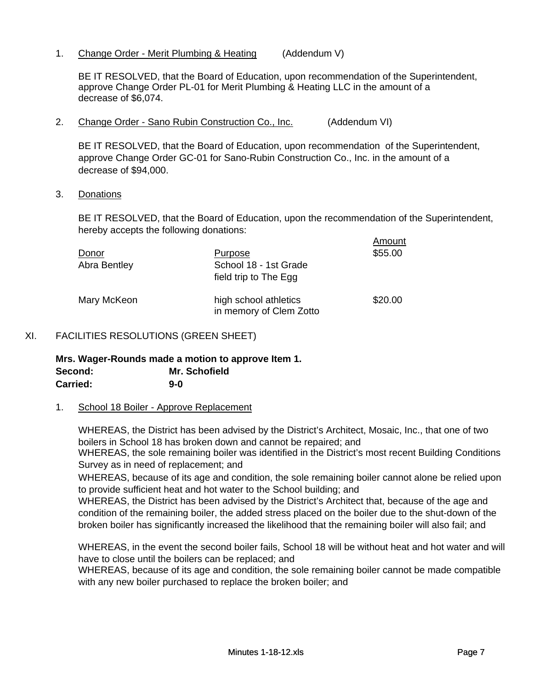1. Change Order - Merit Plumbing & Heating (Addendum V)

BE IT RESOLVED, that the Board of Education, upon recommendation of the Superintendent, approve Change Order PL-01 for Merit Plumbing & Heating LLC in the amount of a decrease of \$6,074.

2. Change Order - Sano Rubin Construction Co., Inc. (Addendum VI)

BE IT RESOLVED, that the Board of Education, upon recommendation of the Superintendent, approve Change Order GC-01 for Sano-Rubin Construction Co., Inc. in the amount of a decrease of \$94,000.

3. Donations

BE IT RESOLVED, that the Board of Education, upon the recommendation of the Superintendent, hereby accepts the following donations:

Amount

| Donor<br>Abra Bentley | <u>Purpose</u><br>School 18 - 1st Grade<br>field trip to The Egg | , ,,,,,,,,,,<br>\$55.00 |
|-----------------------|------------------------------------------------------------------|-------------------------|
| Mary McKeon           | high school athletics<br>in memory of Clem Zotto                 | \$20.00                 |

## XI. FACILITIES RESOLUTIONS (GREEN SHEET)

**Mrs. Wager-Rounds made a motion to approve Item 1. Second: Mr. Schofield Carried: 9-0**

### 1. School 18 Boiler - Approve Replacement

WHEREAS, the District has been advised by the District's Architect, Mosaic, Inc., that one of two boilers in School 18 has broken down and cannot be repaired; and

WHEREAS, the sole remaining boiler was identified in the District's most recent Building Conditions Survey as in need of replacement; and

WHEREAS, because of its age and condition, the sole remaining boiler cannot alone be relied upon to provide sufficient heat and hot water to the School building; and

WHEREAS, the District has been advised by the District's Architect that, because of the age and condition of the remaining boiler, the added stress placed on the boiler due to the shut-down of the broken boiler has significantly increased the likelihood that the remaining boiler will also fail; and

WHEREAS, in the event the second boiler fails, School 18 will be without heat and hot water and will have to close until the boilers can be replaced; and

WHEREAS, because of its age and condition, the sole remaining boiler cannot be made compatible with any new boiler purchased to replace the broken boiler; and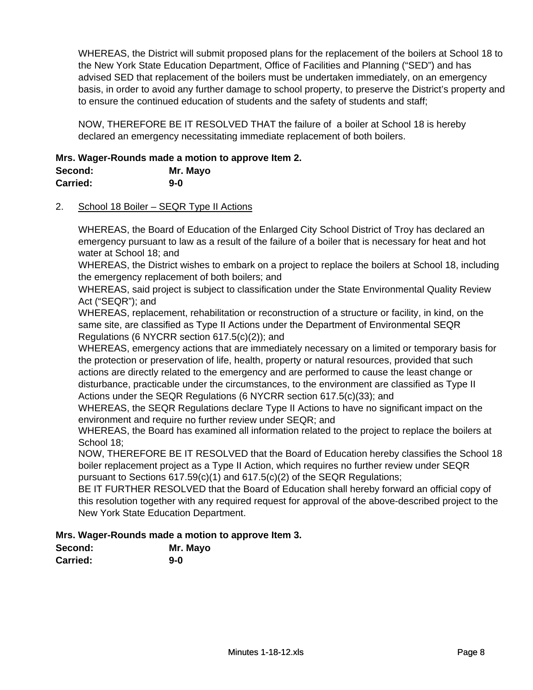WHEREAS, the District will submit proposed plans for the replacement of the boilers at School 18 to the New York State Education Department, Office of Facilities and Planning ("SED") and has advised SED that replacement of the boilers must be undertaken immediately, on an emergency basis, in order to avoid any further damage to school property, to preserve the District's property and to ensure the continued education of students and the safety of students and staff;

NOW, THEREFORE BE IT RESOLVED THAT the failure of a boiler at School 18 is hereby declared an emergency necessitating immediate replacement of both boilers.

# **Mrs. Wager-Rounds made a motion to approve Item 2.**

| Second:  | Mr. Mayo |
|----------|----------|
| Carried: | $9-0$    |

## 2. School 18 Boiler – SEQR Type II Actions

WHEREAS, the Board of Education of the Enlarged City School District of Troy has declared an emergency pursuant to law as a result of the failure of a boiler that is necessary for heat and hot water at School 18; and

WHEREAS, the District wishes to embark on a project to replace the boilers at School 18, including the emergency replacement of both boilers; and

WHEREAS, said project is subject to classification under the State Environmental Quality Review Act ("SEQR"); and

WHEREAS, replacement, rehabilitation or reconstruction of a structure or facility, in kind, on the same site, are classified as Type II Actions under the Department of Environmental SEQR Regulations (6 NYCRR section 617.5(c)(2)); and

WHEREAS, emergency actions that are immediately necessary on a limited or temporary basis for the protection or preservation of life, health, property or natural resources, provided that such actions are directly related to the emergency and are performed to cause the least change or disturbance, practicable under the circumstances, to the environment are classified as Type II Actions under the SEQR Regulations (6 NYCRR section 617.5(c)(33); and

WHEREAS, the SEQR Regulations declare Type II Actions to have no significant impact on the environment and require no further review under SEQR; and

WHEREAS, the Board has examined all information related to the project to replace the boilers at School 18;

NOW, THEREFORE BE IT RESOLVED that the Board of Education hereby classifies the School 18 boiler replacement project as a Type II Action, which requires no further review under SEQR pursuant to Sections 617.59(c)(1) and 617.5(c)(2) of the SEQR Regulations;

BE IT FURTHER RESOLVED that the Board of Education shall hereby forward an official copy of this resolution together with any required request for approval of the above-described project to the New York State Education Department.

# **Mrs. Wager-Rounds made a motion to approve Item 3.**

| Second:  | Mr. Mayo |
|----------|----------|
| Carried: | $9-0$    |